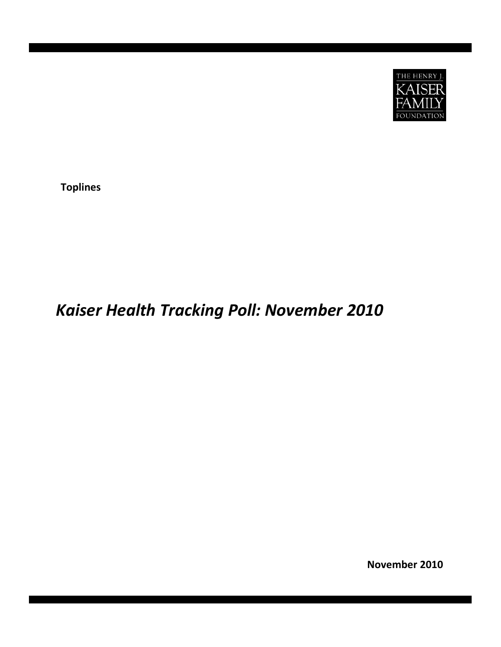

**Toplines**

# *Kaiser Health Tracking Poll: November 2010*

**November 2010**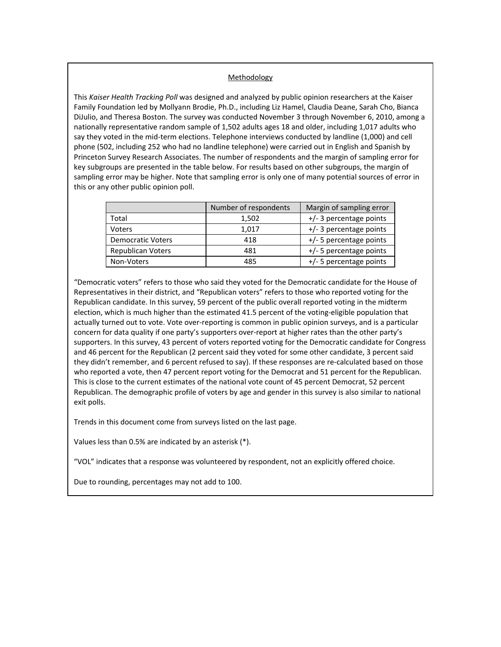### Methodology

This *Kaiser Health Tracking Poll* was designed and analyzed by public opinion researchers at the Kaiser Family Foundation led by Mollyann Brodie, Ph.D., including Liz Hamel, Claudia Deane, Sarah Cho, Bianca DiJulio, and Theresa Boston. The survey was conducted November 3 through November 6, 2010, among a nationally representative random sample of 1,502 adults ages 18 and older, including 1,017 adults who say they voted in the mid-term elections. Telephone interviews conducted by landline (1,000) and cell phone (502, including 252 who had no landline telephone) were carried out in English and Spanish by Princeton Survey Research Associates. The number of respondents and the margin of sampling error for key subgroups are presented in the table below. For results based on other subgroups, the margin of sampling error may be higher. Note that sampling error is only one of many potential sources of error in this or any other public opinion poll.

|                          | Number of respondents | Margin of sampling error |
|--------------------------|-----------------------|--------------------------|
| Total                    | 1,502                 | +/- 3 percentage points  |
| Voters                   | 1.017                 | +/- 3 percentage points  |
| <b>Democratic Voters</b> | 418                   | +/- 5 percentage points  |
| <b>Republican Voters</b> | 481                   | +/- 5 percentage points  |
| Non-Voters               | 485                   | +/- 5 percentage points  |

"Democratic voters" refers to those who said they voted for the Democratic candidate for the House of Representatives in their district, and "Republican voters" refers to those who reported voting for the Republican candidate. In this survey, 59 percent of the public overall reported voting in the midterm election, which is much higher than the estimated 41.5 percent of the voting-eligible population that actually turned out to vote. Vote over‐reporting is common in public opinion surveys, and is a particular concern for data quality if one party's supporters over-report at higher rates than the other party's supporters. In this survey, 43 percent of voters reported voting for the Democratic candidate for Congress and 46 percent for the Republican (2 percent said they voted for some other candidate, 3 percent said they didn't remember, and 6 percent refused to say). If these responses are re‐calculated based on those who reported a vote, then 47 percent report voting for the Democrat and 51 percent for the Republican. This is close to the current estimates of the national vote count of 45 percent Democrat, 52 percent Republican. The demographic profile of voters by age and gender in this survey is also similar to national exit polls.

Trends in this document come from surveys listed on the last page.

Values less than 0.5% are indicated by an asterisk (\*).

"VOL" indicates that a response was volunteered by respondent, not an explicitly offered choice.

Due to rounding, percentages may not add to 100.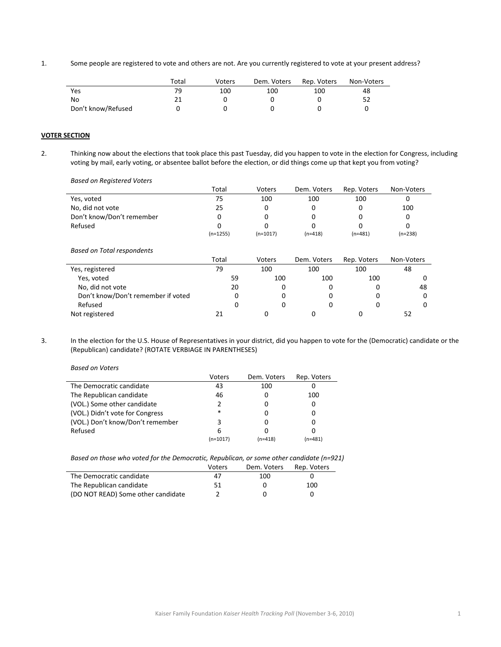1. Some people are registered to vote and others are not. Are you currently registered to vote at your present address?

|                    | Total | Voters | Dem. Voters | Rep. Voters | Non-Voters |
|--------------------|-------|--------|-------------|-------------|------------|
| Yes                | 79    | 100    | 100         | 100         | 48         |
| No                 |       |        |             |             |            |
| Don't know/Refused |       |        |             |             |            |

## **VOTER SECTION**

2. Thinking now about the elections that took place this past Tuesday, did you happen to vote in the election for Congress, including voting by mail, early voting, or absentee ballot before the election, or did things come up that kept you from voting?

*Based on Registered Voters*

| basca on negisterea voters         |            |            |             |             |            |
|------------------------------------|------------|------------|-------------|-------------|------------|
|                                    | Total      | Voters     | Dem. Voters | Rep. Voters | Non-Voters |
| Yes, voted                         | 75         | 100        | 100         | 100         | 0          |
| No, did not vote                   | 25         | $\Omega$   | 0           | 0           | 100        |
| Don't know/Don't remember          | O          |            |             |             |            |
| Refused                            |            |            |             |             | O          |
|                                    | $(n=1255)$ | $(n=1017)$ | $(n=418)$   | $(n=481)$   | $(n=238)$  |
|                                    |            |            |             |             |            |
| <b>Based on Total respondents</b>  |            |            |             |             |            |
|                                    | Total      | Voters     | Dem. Voters | Rep. Voters | Non-Voters |
| Yes, registered                    | 79         | 100        | 100         | 100         | 48         |
| Yes, voted                         | 59         | 100        | 100         | 100         |            |
| No, did not vote                   | 20         |            |             |             | 48         |
| Don't know/Don't remember if voted | 0          |            |             |             |            |
| Refused                            | 0          | 0          |             | 0           |            |
| Not registered                     | 21         |            | 0           | 0           | 52         |

3. In the election for the U.S. House of Representatives in your district, did you happen to vote for the (Democratic) candidate or the (Republican) candidate? (ROTATE VERBIAGE IN PARENTHESES)

| <b>Based on Voters</b>           |          |             |             |
|----------------------------------|----------|-------------|-------------|
|                                  | Voters   | Dem. Voters | Rep. Voters |
| The Democratic candidate         | 43       | 100         |             |
| The Republican candidate         | 46       |             | 100         |
| (VOL.) Some other candidate      | 2        |             | 0           |
| (VOL.) Didn't vote for Congress  | *        |             | 0           |
| (VOL.) Don't know/Don't remember | 3        |             | 0           |
| Refused                          | 6        |             |             |
|                                  | (n=1017) | $(n=418)$   | (n=481)     |

|                                    | Voters | Dem. Voters | Rep. Voters |
|------------------------------------|--------|-------------|-------------|
| The Democratic candidate           | 47     | 100         |             |
| The Republican candidate           | 51     |             | 100         |
| (DO NOT READ) Some other candidate |        |             |             |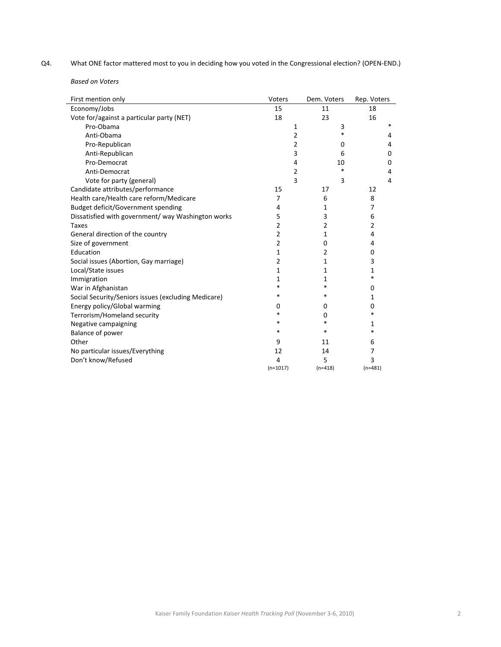Q4. What ONE factor mattered most to you in deciding how you voted in the Congressional election? (OPEN-END.)

*Based on Voters*

| First mention only                                  | Voters         | Dem. Voters | Rep. Voters    |
|-----------------------------------------------------|----------------|-------------|----------------|
| Economy/Jobs                                        | 15             | 11          | 18             |
| Vote for/against a particular party (NET)           | 18             | 23          | 16             |
| Pro-Obama                                           | 1              | 3           | *              |
| Anti-Obama                                          | 2              | *           | 4              |
| Pro-Republican                                      | 2              | 0           | 4              |
| Anti-Republican                                     | 3              | 6           | 0              |
| Pro-Democrat                                        | 4              | 10          | 0              |
| Anti-Democrat                                       | 2              | *           | 4              |
| Vote for party (general)                            | 3              | 3           | 4              |
| Candidate attributes/performance                    | 15             | 17          | 12             |
| Health care/Health care reform/Medicare             | 7              | 6           | 8              |
| Budget deficit/Government spending                  | 4              | 1           | 7              |
| Dissatisfied with government/ way Washington works  | 5              | 3           | 6              |
| <b>Taxes</b>                                        | 2              | 2           | $\overline{2}$ |
| General direction of the country                    | $\overline{2}$ | 1           | 4              |
| Size of government                                  | $\overline{2}$ | 0           | 4              |
| Education                                           | 1              | 2           | 0              |
| Social issues (Abortion, Gay marriage)              | 2              | 1           | 3              |
| Local/State issues                                  | 1              | 1           | 1              |
| Immigration                                         | 1              | 1           | *              |
| War in Afghanistan                                  | *              | *           | 0              |
| Social Security/Seniors issues (excluding Medicare) | *              | *           | 1              |
| Energy policy/Global warming                        | $\Omega$       | 0           | 0              |
| Terrorism/Homeland security                         | *              | 0           | *              |
| Negative campaigning                                | *              | *           | 1              |
| Balance of power                                    | *              | *           | $\ast$         |
| Other                                               | 9              | 11          | 6              |
| No particular issues/Everything                     | 12             | 14          | 7              |
| Don't know/Refused                                  | 4              | 5           | 3              |
|                                                     | $(n=1017)$     | $(n=418)$   | $(n=481)$      |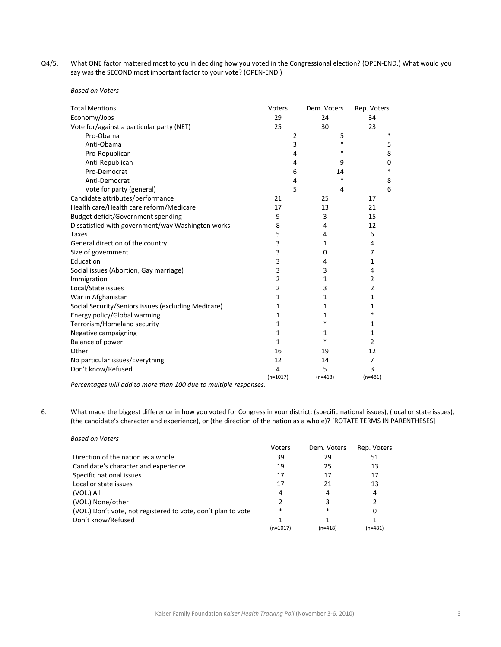Q4/5. What ONE factor mattered most to you in deciding how you voted in the Congressional election? (OPEN-END.) What would you say was the SECOND most important factor to your vote? (OPEN‐END.)

*Based on Voters*

*Based on Voters*

| <b>Total Mentions</b>                               | Voters     | Dem. Voters | Rep. Voters    |
|-----------------------------------------------------|------------|-------------|----------------|
| Economy/Jobs                                        | 29         | 24          | 34             |
| Vote for/against a particular party (NET)           | 25         | 30          | 23             |
| Pro-Obama                                           | 2          | 5           | *              |
| Anti-Obama                                          | 3          | *           | 5              |
| Pro-Republican                                      | 4          | *           | 8              |
| Anti-Republican                                     | 4          | 9           | 0              |
| Pro-Democrat                                        | 6          | 14          | $\ast$         |
| Anti-Democrat                                       | 4          | *           | 8              |
| Vote for party (general)                            | 5          | 4           | 6              |
| Candidate attributes/performance                    | 21         | 25          | 17             |
| Health care/Health care reform/Medicare             | 17         | 13          | 21             |
| Budget deficit/Government spending                  | 9          | 3           | 15             |
| Dissatisfied with government/way Washington works   | 8          | 4           | 12             |
| <b>Taxes</b>                                        | 5          | 4           | 6              |
| General direction of the country                    | 3          | 1           | 4              |
| Size of government                                  | 3          | 0           | 7              |
| Education                                           | 3          | 4           | 1              |
| Social issues (Abortion, Gay marriage)              | 3          | 3           | 4              |
| Immigration                                         | 2          | 1           | $\overline{2}$ |
| Local/State issues                                  | 2          | 3           | $\overline{2}$ |
| War in Afghanistan                                  | 1          | 1           | 1              |
| Social Security/Seniors issues (excluding Medicare) | 1          | 1           | 1              |
| Energy policy/Global warming                        | 1          | 1           | $\ast$         |
| Terrorism/Homeland security                         | 1          | $\ast$      | 1              |
| Negative campaigning                                | 1          | 1           | 1              |
| Balance of power                                    | 1          | $\ast$      | $\overline{2}$ |
| Other                                               | 16         | 19          | 12             |
| No particular issues/Everything                     | 12         | 14          | 7              |
| Don't know/Refused                                  | 4          | 5           | 3              |
|                                                     | $(n=1017)$ | $(n=418)$   | $(n=481)$      |

*Percentages will add to more than 100 due to multiple responses.*

6. What made the biggest difference in how you voted for Congress in your district: (specific national issues), (local or state issues), (the candidate's character and experience), or (the direction of the nation as a whole)? [ROTATE TERMS IN PARENTHESES]

|                                                               | <b>Voters</b> | Dem. Voters | Rep. Voters |
|---------------------------------------------------------------|---------------|-------------|-------------|
| Direction of the nation as a whole                            | 39            | 29          | 51          |
| Candidate's character and experience                          | 19            | 25          | 13          |
| Specific national issues                                      | 17            | 17          | 17          |
| Local or state issues                                         | 17            | 21          | 13          |
| (VOL.) All                                                    | 4             | 4           | 4           |
| (VOL.) None/other                                             |               | 3           |             |
| (VOL.) Don't vote, not registered to vote, don't plan to vote | $\ast$        | *           | 0           |
| Don't know/Refused                                            |               |             |             |
|                                                               | $(n=1017)$    | (n=418)     | $(n=481)$   |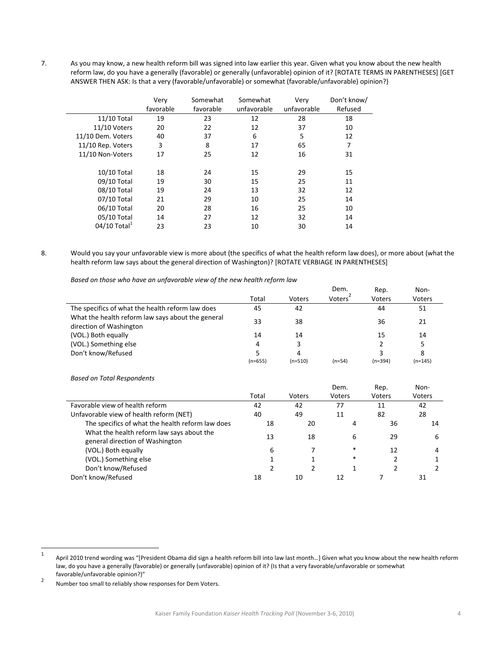7. As you may know, a new health reform bill was signed into law earlier this year. Given what you know about the new health reform law, do you have a generally (favorable) or generally (unfavorable) opinion of it? [ROTATE TERMS IN PARENTHESES] [GET ANSWER THEN ASK: Is that a very (favorable/unfavorable) or somewhat (favorable/unfavorable) opinion?)

|                   | Very      | Somewhat  | Somewhat    | Very        | Don't know/ |
|-------------------|-----------|-----------|-------------|-------------|-------------|
|                   | favorable | favorable | unfavorable | unfavorable | Refused     |
| 11/10 Total       | 19        | 23        | 12          | 28          | 18          |
| 11/10 Voters      | 20        | 22        | 12          | 37          | 10          |
| 11/10 Dem. Voters | 40        | 37        | 6           | 5           | 12          |
| 11/10 Rep. Voters | 3         | 8         | 17          | 65          | 7           |
| 11/10 Non-Voters  | 17        | 25        | 12          | 16          | 31          |
|                   |           |           |             |             |             |
| 10/10 Total       | 18        | 24        | 15          | 29          | 15          |
| 09/10 Total       | 19        | 30        | 15          | 25          | 11          |
| 08/10 Total       | 19        | 24        | 13          | 32          | 12          |
| 07/10 Total       | 21        | 29        | 10          | 25          | 14          |
| 06/10 Total       | 20        | 28        | 16          | 25          | 10          |
| 05/10 Total       | 14        | 27        | 12          | 32          | 14          |
| 04/10 Total $^1$  | 23        | 23        | 10          | 30          | 14          |

8. Would you say your unfavorable view is more about (the specifics of what the health reform law does), or more about (what the health reform law says about the general direction of Washington)? [ROTATE VERBIAGE IN PARENTHESES]

*Based on those who have an unfavorable view of the new health reform law*

|                                                                              |           |           | Dem.                | Rep.          | Non-      |
|------------------------------------------------------------------------------|-----------|-----------|---------------------|---------------|-----------|
|                                                                              | Total     | Voters    | Voters <sup>-</sup> | <b>Voters</b> | Voters    |
| The specifics of what the health reform law does                             | 45        | 42        |                     | 44            | 51        |
| What the health reform law says about the general<br>direction of Washington | 33        | 38        |                     | 36            | 21        |
| (VOL.) Both equally                                                          | 14        | 14        |                     | 15            | 14        |
| (VOL.) Something else                                                        | 4         | 3         |                     |               |           |
| Don't know/Refused                                                           |           | 4         |                     |               | 8         |
|                                                                              | $(n=655)$ | $(n=510)$ | $(n=54)$            | $(n=394)$     | $(n=145)$ |

*Based on Total Respondents*

|                                                                              |       |        | Dem.   | Rep.   | Non-   |
|------------------------------------------------------------------------------|-------|--------|--------|--------|--------|
|                                                                              | Total | Voters | Voters | Voters | Voters |
| Favorable view of health reform                                              | 42    | 42     | 77     | 11     | 42     |
| Unfavorable view of health reform (NET)                                      | 40    | 49     | 11     | 82     | 28     |
| The specifics of what the health reform law does                             | 18    | 20     | 4      | 36     | 14     |
| What the health reform law says about the<br>general direction of Washington | 13    | 18     | 6      | 29     | 6      |
| (VOL.) Both equally                                                          | 6     |        | $\ast$ | 12     |        |
| (VOL.) Something else                                                        |       |        | *      |        |        |
| Don't know/Refused                                                           |       |        |        |        |        |
| Don't know/Refused                                                           | 18    | 10     | 12     |        | 31     |

Number too small to reliably show responses for Dem Voters.

<sup>1</sup> April 2010 trend wording was "[President Obama did sign a health reform bill into law last month…] Given what you know about the new health reform law, do you have a generally (favorable) or generally (unfavorable) opinion of it? (Is that a very favorable/unfavorable or somewhat favorable/unfavorable opinion?)" <sup>2</sup>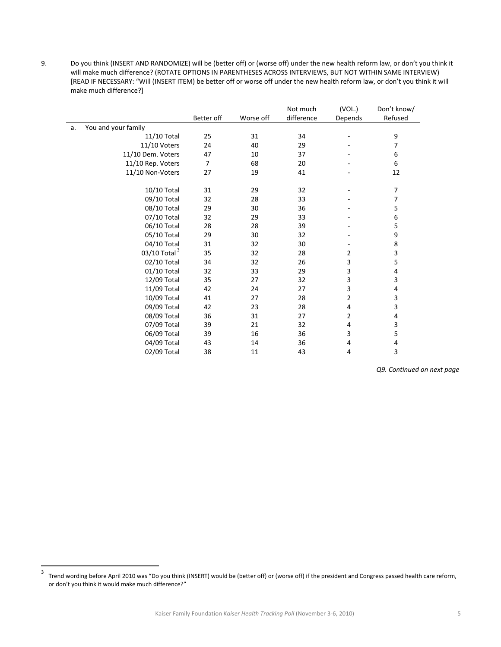9. Do you think (INSERT AND RANDOMIZE) will be (better off) or (worse off) under the new health reform law, or don't you think it will make much difference? (ROTATE OPTIONS IN PARENTHESES ACROSS INTERVIEWS, BUT NOT WITHIN SAME INTERVIEW) [READ IF NECESSARY: "Will (INSERT ITEM) be better off or worse off under the new health reform law, or don't you think it will make much difference?]

|    |                          |                |           | Not much   | (VOL.)  | Don't know/ |
|----|--------------------------|----------------|-----------|------------|---------|-------------|
|    |                          | Better off     | Worse off | difference | Depends | Refused     |
| a. | You and your family      |                |           |            |         |             |
|    | 11/10 Total              | 25             | 31        | 34         |         | 9           |
|    | 11/10 Voters             | 24             | 40        | 29         |         | 7           |
|    | 11/10 Dem. Voters        | 47             | 10        | 37         |         | 6           |
|    | 11/10 Rep. Voters        | $\overline{7}$ | 68        | 20         |         | 6           |
|    | 11/10 Non-Voters         | 27             | 19        | 41         |         | 12          |
|    | 10/10 Total              | 31             | 29        | 32         |         | 7           |
|    | 09/10 Total              | 32             | 28        | 33         |         | 7           |
|    | 08/10 Total              | 29             | 30        | 36         |         | 5           |
|    | 07/10 Total              | 32             | 29        | 33         |         | 6           |
|    | 06/10 Total              | 28             | 28        | 39         |         | 5           |
|    | 05/10 Total              | 29             | 30        | 32         |         | 9           |
|    | 04/10 Total              | 31             | 32        | 30         |         | 8           |
|    | 03/10 Total <sup>3</sup> | 35             | 32        | 28         | 2       | 3           |
|    | 02/10 Total              | 34             | 32        | 26         | 3       | 5           |
|    | 01/10 Total              | 32             | 33        | 29         | 3       | 4           |
|    | 12/09 Total              | 35             | 27        | 32         | 3       | 3           |
|    | 11/09 Total              | 42             | 24        | 27         | 3       | 4           |
|    | 10/09 Total              | 41             | 27        | 28         | 2       | 3           |
|    | 09/09 Total              | 42             | 23        | 28         | 4       | 3           |
|    | 08/09 Total              | 36             | 31        | 27         | 2       | 4           |
|    | 07/09 Total              | 39             | 21        | 32         | 4       | 3           |
|    | 06/09 Total              | 39             | 16        | 36         | 3       | 5           |
|    | 04/09 Total              | 43             | 14        | 36         | 4       | 4           |
|    | 02/09 Total              | 38             | 11        | 43         | 4       | 3           |

*Q9. Continued on next page*

<sup>3</sup> Trend wording before April 2010 was "Do you think (INSERT) would be (better off) or (worse off) if the president and Congress passed health care reform, or don't you think it would make much difference?"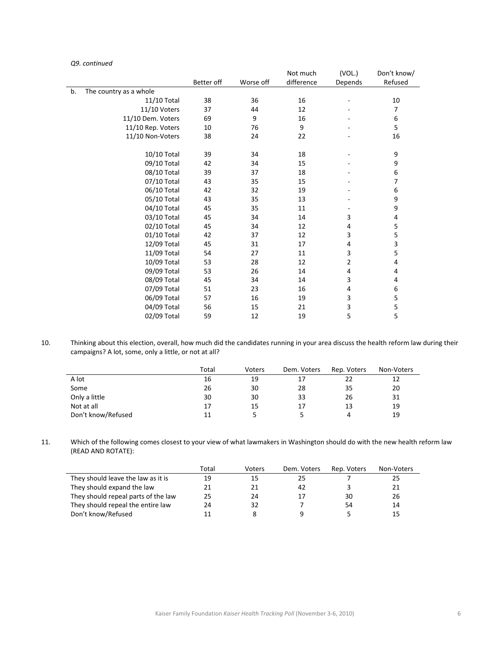|    |                        |            |           | Not much   | (VOL.)  | Don't know/             |
|----|------------------------|------------|-----------|------------|---------|-------------------------|
|    |                        | Better off | Worse off | difference | Depends | Refused                 |
| b. | The country as a whole |            |           |            |         |                         |
|    | 11/10 Total            | 38         | 36        | 16         |         | 10                      |
|    | 11/10 Voters           | 37         | 44        | 12         |         | 7                       |
|    | 11/10 Dem. Voters      | 69         | 9         | 16         |         | 6                       |
|    | 11/10 Rep. Voters      | 10         | 76        | 9          |         | 5                       |
|    | 11/10 Non-Voters       | 38         | 24        | 22         |         | 16                      |
|    |                        |            |           |            |         |                         |
|    | 10/10 Total            | 39         | 34        | 18         |         | 9                       |
|    | 09/10 Total            | 42         | 34        | 15         |         | 9                       |
|    | 08/10 Total            | 39         | 37        | 18         |         | 6                       |
|    | 07/10 Total            | 43         | 35        | 15         |         | 7                       |
|    | 06/10 Total            | 42         | 32        | 19         |         | 6                       |
|    | 05/10 Total            | 43         | 35        | 13         |         | 9                       |
|    | 04/10 Total            | 45         | 35        | 11         |         | 9                       |
|    | 03/10 Total            | 45         | 34        | 14         | 3       | 4                       |
|    | 02/10 Total            | 45         | 34        | 12         | 4       | 5                       |
|    | 01/10 Total            | 42         | 37        | 12         | 3       | 5                       |
|    | 12/09 Total            | 45         | 31        | 17         | 4       | $\overline{\mathbf{3}}$ |
|    | 11/09 Total            | 54         | 27        | 11         | 3       | 5                       |
|    | 10/09 Total            | 53         | 28        | 12         | 2       | 4                       |
|    | 09/09 Total            | 53         | 26        | 14         | 4       | 4                       |
|    | 08/09 Total            | 45         | 34        | 14         | 3       | 4                       |
|    | 07/09 Total            | 51         | 23        | 16         | 4       | 6                       |
|    | 06/09 Total            | 57         | 16        | 19         | 3       | 5                       |
|    | 04/09 Total            | 56         | 15        | 21         | 3       | 5                       |
|    | 02/09 Total            | 59         | 12        | 19         | 5       | 5                       |

*Q9. continued*

10. Thinking about this election, overall, how much did the candidates running in your area discuss the health reform law during their campaigns? A lot, some, only a little, or not at all?

|                    | Total | Voters | Dem. Voters | Rep. Voters | Non-Voters |
|--------------------|-------|--------|-------------|-------------|------------|
| A lot              | 16    | 19     |             | 22          | 12         |
| Some               | 26    | 30     | 28          | 35          | 20         |
| Only a little      | 30    | 30     | 33          | 26          | 31         |
| Not at all         | 17    | 15     | 17          | 13          | 19         |
| Don't know/Refused | 11    |        |             |             | 19         |

11. Which of the following comes closest to your view of what lawmakers in Washington should do with the new health reform law (READ AND ROTATE):

|                                     | Total | Voters | Dem. Voters | Rep. Voters | Non-Voters |
|-------------------------------------|-------|--------|-------------|-------------|------------|
| They should leave the law as it is  | 19    | 15     | 25          |             | 25         |
| They should expand the law          | 21    | 21     | 42          |             | 21         |
| They should repeal parts of the law | 25    | 24     |             | 30          | 26         |
| They should repeal the entire law   | 24    | 32     |             | 54          | 14         |
| Don't know/Refused                  |       |        |             |             | 15         |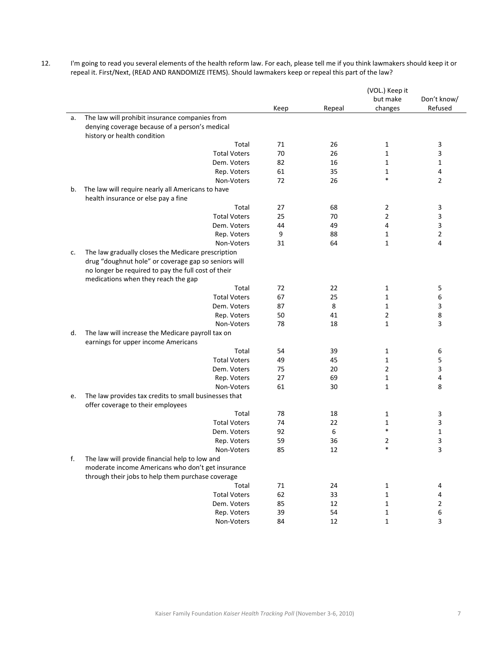| 12. | I'm going to read you several elements of the health reform law. For each, please tell me if you think lawmakers should keep it or |
|-----|------------------------------------------------------------------------------------------------------------------------------------|
|     | repeal it. First/Next, (READ AND RANDOMIZE ITEMS). Should lawmakers keep or repeal this part of the law?                           |

|    |                                                       |         |          | (VOL.) Keep it |             |
|----|-------------------------------------------------------|---------|----------|----------------|-------------|
|    |                                                       |         |          | but make       | Don't know/ |
|    |                                                       | Keep    | Repeal   | changes        | Refused     |
| a. | The law will prohibit insurance companies from        |         |          |                |             |
|    | denying coverage because of a person's medical        |         |          |                |             |
|    | history or health condition                           |         |          |                |             |
|    | Total                                                 | 71      | 26       | 1              | 3           |
|    | <b>Total Voters</b>                                   | 70      | 26       | $\mathbf 1$    | 3           |
|    | Dem. Voters                                           | 82      | 16       | 1              | 1           |
|    | Rep. Voters                                           | 61      | 35       | 1<br>$\ast$    | 4           |
|    | Non-Voters                                            | 72      | 26       |                | 2           |
| b. | The law will require nearly all Americans to have     |         |          |                |             |
|    | health insurance or else pay a fine                   |         |          |                |             |
|    | Total                                                 | 27      | 68       | 2              | 3           |
|    | <b>Total Voters</b>                                   | 25      | 70       | $\overline{2}$ | 3           |
|    | Dem. Voters                                           | 44      | 49       | 4              | 3           |
|    | Rep. Voters<br>Non-Voters                             | 9<br>31 | 88<br>64 | 1<br>1         | 2<br>4      |
|    | The law gradually closes the Medicare prescription    |         |          |                |             |
| c. | drug "doughnut hole" or coverage gap so seniors will  |         |          |                |             |
|    | no longer be required to pay the full cost of their   |         |          |                |             |
|    | medications when they reach the gap                   |         |          |                |             |
|    | Total                                                 | 72      | 22       | 1              | 5           |
|    | <b>Total Voters</b>                                   | 67      | 25       | 1              | 6           |
|    | Dem. Voters                                           | 87      | 8        | $\mathbf{1}$   | 3           |
|    | Rep. Voters                                           | 50      | 41       | 2              | 8           |
|    | Non-Voters                                            | 78      | 18       | 1              | 3           |
| d. | The law will increase the Medicare payroll tax on     |         |          |                |             |
|    | earnings for upper income Americans                   |         |          |                |             |
|    | Total                                                 | 54      | 39       | 1              | 6           |
|    | <b>Total Voters</b>                                   | 49      | 45       | 1              | 5           |
|    | Dem. Voters                                           | 75      | 20       | 2              | 3           |
|    | Rep. Voters                                           | 27      | 69       | 1              | 4           |
|    | Non-Voters                                            | 61      | 30       | 1              | 8           |
| e. | The law provides tax credits to small businesses that |         |          |                |             |
|    | offer coverage to their employees                     |         |          |                |             |
|    | Total                                                 | 78      | 18       | 1              | 3           |
|    | <b>Total Voters</b>                                   | 74      | 22       | $\mathbf 1$    | 3           |
|    | Dem. Voters                                           | 92      | 6        | $\ast$         | 1           |
|    | Rep. Voters                                           | 59      | 36       | 2              | 3           |
|    | Non-Voters                                            | 85      | 12       | $\ast$         | 3           |
| f. | The law will provide financial help to low and        |         |          |                |             |
|    | moderate income Americans who don't get insurance     |         |          |                |             |
|    | through their jobs to help them purchase coverage     |         |          |                |             |
|    | Total                                                 | 71      | 24       | 1              | 4           |
|    | <b>Total Voters</b>                                   | 62      | 33       | 1              | 4           |
|    | Dem. Voters                                           | 85      | 12       | 1              | 2           |
|    | Rep. Voters<br>Non-Voters                             | 39      | 54       | 1              | 6           |
|    |                                                       | 84      | 12       | $\mathbf{1}$   | 3           |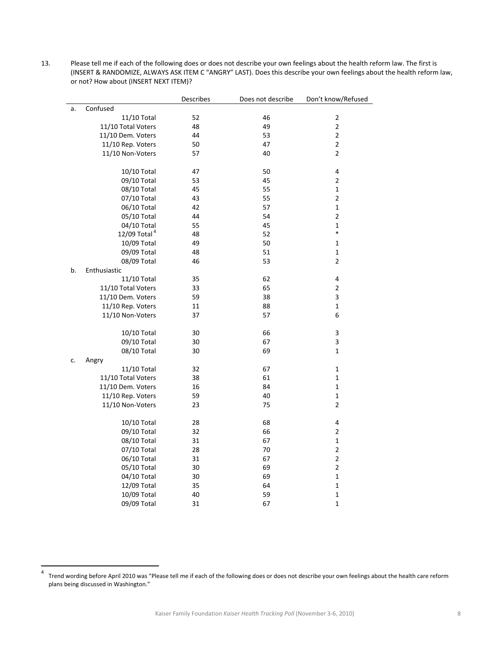13. Please tell me if each of the following does or does not describe your own feelings about the health reform law. The first is (INSERT & RANDOMIZE, ALWAYS ASK ITEM C "ANGRY" LAST). Does this describe your own feelings about the health reform law, or not? How about (INSERT NEXT ITEM)?

|    |                                         | Describes | Does not describe | Don't know/Refused |
|----|-----------------------------------------|-----------|-------------------|--------------------|
| a. | Confused                                |           |                   |                    |
|    | 11/10 Total                             | 52        | 46                | $\mathbf 2$        |
|    | 11/10 Total Voters                      | 48        | 49                | $\mathbf 2$        |
|    | 11/10 Dem. Voters                       | 44        | 53                | $\overline{2}$     |
|    | 11/10 Rep. Voters                       | 50        | 47                | $\overline{2}$     |
|    | 11/10 Non-Voters                        | 57        | 40                | $\mathbf 2$        |
|    |                                         |           |                   |                    |
|    | 10/10 Total                             | 47        | 50                | 4                  |
|    | 09/10 Total                             | 53        | 45                | $\overline{2}$     |
|    | 08/10 Total                             | 45        | 55                | 1                  |
|    | 07/10 Total                             | 43        | 55                | $\overline{2}$     |
|    | 06/10 Total                             | 42        | 57                | $\mathbf 1$        |
|    | 05/10 Total                             | 44        | 54                | $\overline{2}$     |
|    | 04/10 Total                             | 55        | 45                | $\mathbf 1$        |
|    | 12/09 Total <sup>4</sup>                | 48        | 52                | *                  |
|    | 10/09 Total                             | 49        | 50                | $\mathbf 1$        |
|    | 09/09 Total                             | 48        | 51                | $\mathbf 1$        |
|    | 08/09 Total                             | 46        | 53                | 2                  |
| b. | Enthusiastic                            |           |                   |                    |
|    | 11/10 Total                             | 35        | 62                | 4                  |
|    | 11/10 Total Voters                      | 33        | 65                | $\overline{2}$     |
|    | 11/10 Dem. Voters                       | 59        | 38                | 3                  |
|    | 11/10 Rep. Voters                       | 11        | 88                | $\mathbf 1$        |
|    | 11/10 Non-Voters                        | 37        | 57                | 6                  |
|    | 10/10 Total                             | 30        | 66                | 3                  |
|    | 09/10 Total                             | 30        | 67                | 3                  |
|    | 08/10 Total                             | 30        | 69                | $\mathbf 1$        |
| c. |                                         |           |                   |                    |
|    | Angry<br>11/10 Total                    | 32        | 67                | 1                  |
|    |                                         | 38        | 61                | 1                  |
|    | 11/10 Total Voters<br>11/10 Dem. Voters |           |                   | $\mathbf{1}$       |
|    |                                         | 16        | 84<br>40          |                    |
|    | 11/10 Rep. Voters                       | 59        |                   | $\mathbf 1$        |
|    | 11/10 Non-Voters                        | 23        | 75                | $\overline{2}$     |
|    | 10/10 Total                             | 28        | 68                | 4                  |
|    | 09/10 Total                             | 32        | 66                | $\overline{2}$     |
|    | 08/10 Total                             | 31        | 67                | $\mathbf 1$        |
|    | 07/10 Total                             | 28        | 70                | $\overline{2}$     |
|    | 06/10 Total                             | 31        | 67                | $\mathbf 2$        |
|    | 05/10 Total                             | 30        | 69                | $\overline{2}$     |
|    | 04/10 Total                             | 30        | 69                | $\mathbf 1$        |
|    | 12/09 Total                             | 35        | 64                | $\mathbf 1$        |
|    | 10/09 Total                             | 40        | 59                | $\mathbf{1}$       |
|    | 09/09 Total                             | 31        | 67                | 1                  |

<sup>4</sup> Trend wording before April <sup>2010</sup> was "Please tell me if each of the following does or does not describe your own feelings about the health care reform plans being discussed in Washington."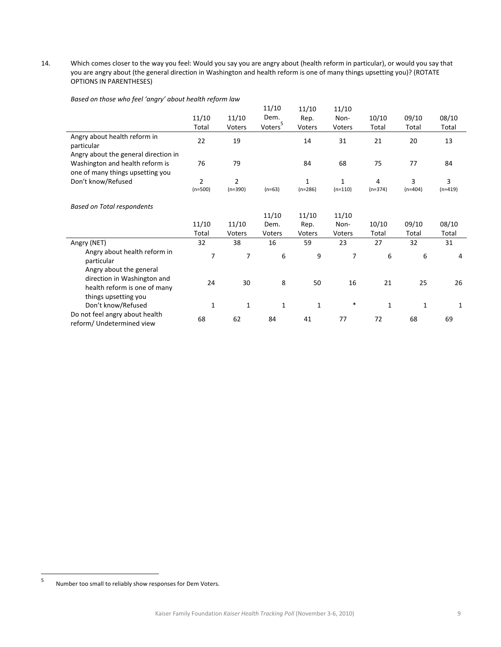14. Which comes closer to the way you feel: Would you say you are angry about (health reform in particular), or would you say that you are angry about (the general direction in Washington and health reform is one of many things upsetting you)? (ROTATE OPTIONS IN PARENTHESES)

| Based on those who feel 'angry' about health reform law |  |  |
|---------------------------------------------------------|--|--|
|---------------------------------------------------------|--|--|

| $5.7.0000$ $1.7.0000$ $1.0000$                                                         |                             |                             |                     |                |                |                |                |                |
|----------------------------------------------------------------------------------------|-----------------------------|-----------------------------|---------------------|----------------|----------------|----------------|----------------|----------------|
|                                                                                        |                             |                             | 11/10               | 11/10          | 11/10          |                |                |                |
|                                                                                        | 11/10                       | 11/10                       | Dem.                | Rep.           | Non-           | 10/10          | 09/10          | 08/10          |
|                                                                                        | Total                       | Voters                      | Voters <sup>5</sup> | Voters         | Voters         | Total          | Total          | Total          |
| Angry about health reform in<br>particular                                             | 22                          | 19                          |                     | 14             | 31             | 21             | 20             | 13             |
| Angry about the general direction in                                                   |                             |                             |                     |                |                |                |                |                |
| Washington and health reform is<br>one of many things upsetting you                    | 76                          | 79                          |                     | 84             | 68             | 75             | 77             | 84             |
| Don't know/Refused                                                                     | $\overline{2}$<br>$(n=500)$ | $\overline{2}$<br>$(n=390)$ | $(n=63)$            | 1<br>$(n=286)$ | 1<br>$(n=110)$ | 4<br>$(n=374)$ | 3<br>$(n=404)$ | 3<br>$(n=419)$ |
|                                                                                        |                             |                             |                     |                |                |                |                |                |
| <b>Based on Total respondents</b>                                                      |                             |                             |                     |                |                |                |                |                |
|                                                                                        |                             |                             | 11/10               | 11/10          | 11/10          |                |                |                |
|                                                                                        | 11/10                       | 11/10                       | Dem.                | Rep.           | Non-           | 10/10          | 09/10          | 08/10          |
|                                                                                        | Total                       | Voters                      | Voters              | Voters         | Voters         | Total          | Total          | Total          |
| Angry (NET)                                                                            | 32                          | 38                          | 16                  | 59             | 23             | 27             | 32             | 31             |
| Angry about health reform in<br>particular                                             | 7                           | 7                           | 6                   | 9              | 7              | 6              | 6              | 4              |
| Angry about the general<br>direction in Washington and<br>health reform is one of many | 24                          | 30                          | 8                   | 50             | 16             | 21             | 25             | 26             |
| things upsetting you<br>Don't know/Refused                                             | $\mathbf{1}$                | 1                           | 1                   | $\mathbf{1}$   | $\ast$         | $\mathbf 1$    | 1              | 1              |
| Do not feel angry about health<br>reform/ Undetermined view                            | 68                          | 62                          | 84                  | 41             | 77             | 72             | 68             | 69             |

<sup>5</sup> Number too small to reliably show responses for Dem Voters.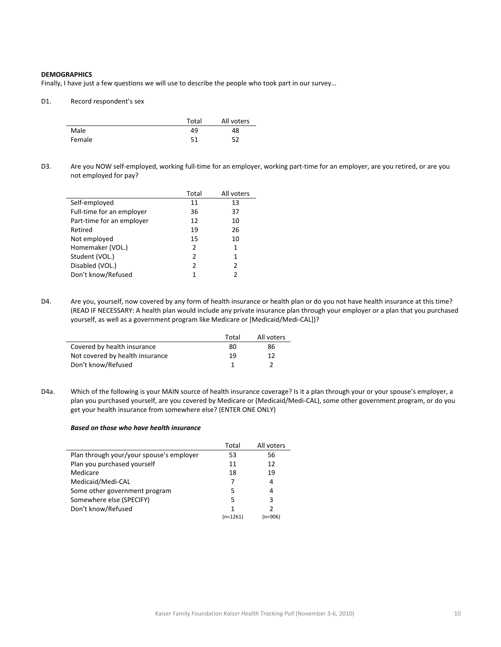## **DEMOGRAPHICS**

Finally, I have just a few questions we will use to describe the people who took part in our survey…

#### D1. Record respondent's sex

|        | Total | All voters |
|--------|-------|------------|
| Male   | 49    | 48         |
| Female | 51    | 52         |

D3. Are you NOW self-employed, working full-time for an employer, working part-time for an employer, are you retired, or are you not employed for pay?

|                           | Total          | All voters    |
|---------------------------|----------------|---------------|
| Self-employed             | 11             | 13            |
| Full-time for an employer | 36             | 37            |
| Part-time for an employer | 12             | 10            |
| Retired                   | 19             | 26            |
| Not employed              | 15             | 10            |
| Homemaker (VOL.)          | 2              | 1             |
| Student (VOL.)            | $\mathfrak{p}$ | 1             |
| Disabled (VOL.)           | 2              | $\mathcal{P}$ |
| Don't know/Refused        | 1              | 2             |

D4. Are you, yourself, now covered by any form of health insurance or health plan or do you not have health insurance at this time? (READ IF NECESSARY: A health plan would include any private insurance plan through your employer or a plan that you purchased yourself, as well as a government program like Medicare or [Medicaid/Medi‐CAL])?

|                                 | Total | All voters |
|---------------------------------|-------|------------|
| Covered by health insurance     | 80    | 86         |
| Not covered by health insurance | 19    | 12         |
| Don't know/Refused              |       |            |

D4a. Which of the following is your MAIN source of health insurance coverage? Is it a plan through your or your spouse's employer, a plan you purchased yourself, are you covered by Medicare or (Medicaid/Medi‐CAL), some other government program, or do you get your health insurance from somewhere else? (ENTER ONE ONLY)

#### *Based on those who have health insurance*

|                                          | Total      | All voters |
|------------------------------------------|------------|------------|
| Plan through your/your spouse's employer | 53         | 56         |
| Plan you purchased yourself              | 11         | 12         |
| Medicare                                 | 18         | 19         |
| Medicaid/Medi-CAL                        | 7          | 4          |
| Some other government program            | 5          | 4          |
| Somewhere else (SPECIFY)                 | 5          | 3          |
| Don't know/Refused                       |            |            |
|                                          | $(n=1261)$ | (n=906)    |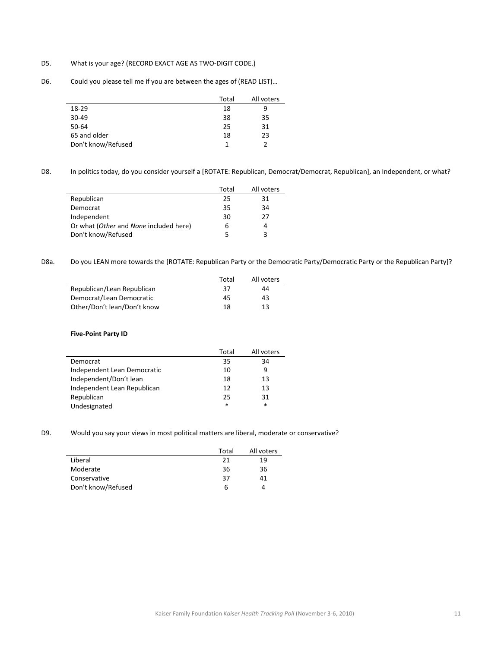## D5. What is your age? (RECORD EXACT AGE AS TWO-DIGIT CODE.)

D6. Could you please tell me if you are between the ages of (READ LIST)...

|                    | Total | All voters |
|--------------------|-------|------------|
| 18-29              | 18    | 9          |
| $30 - 49$          | 38    | 35         |
| 50-64              | 25    | 31         |
| 65 and older       | 18    | 23         |
| Don't know/Refused | 1     | 2          |

D8. In politics today, do you consider yourself a [ROTATE: Republican, Democrat/Democrat, Republican], an Independent, or what?

|                                        | Total | All voters |
|----------------------------------------|-------|------------|
| Republican                             | 25    | 31         |
| Democrat                               | 35    | 34         |
| Independent                            | 30    | 27         |
| Or what (Other and None included here) | h     |            |
| Don't know/Refused                     |       |            |

D8a. Do you LEAN more towards the [ROTATE: Republican Party or the Democratic Party/Democratic Party or the Republican Party]?

|                             | Total | All voters |
|-----------------------------|-------|------------|
| Republican/Lean Republican  | 37    | 44         |
| Democrat/Lean Democratic    | 45    | 43         |
| Other/Don't lean/Don't know | 18    | 13         |

#### **Five‐Point Party ID**

|                             | Total | All voters |
|-----------------------------|-------|------------|
| Democrat                    | 35    | 34         |
| Independent Lean Democratic | 10    | 9          |
| Independent/Don't lean      | 18    | 13         |
| Independent Lean Republican | 12    | 13         |
| Republican                  | 25    | 31         |
| Undesignated                | *     | $\ast$     |

D9. Would you say your views in most political matters are liberal, moderate or conservative?

|                    | Total | All voters |
|--------------------|-------|------------|
| Liberal            | 21    | 19         |
| Moderate           | 36    | 36         |
| Conservative       | 37    | 41         |
| Don't know/Refused | 6     | Δ          |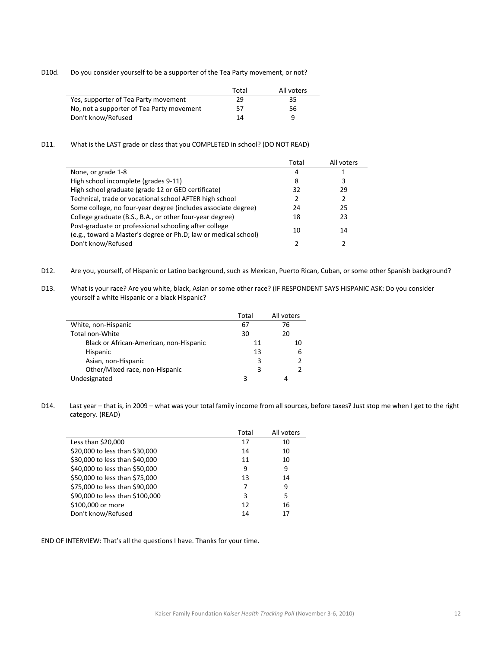D10d. Do you consider yourself to be a supporter of the Tea Party movement, or not?

|                                           | Total | All voters |
|-------------------------------------------|-------|------------|
| Yes, supporter of Tea Party movement      | 29    | 35         |
| No, not a supporter of Tea Party movement | 57    | 56         |
| Don't know/Refused                        | 14    | ч          |

## D11. What is the LAST grade or class that you COMPLETED in school? (DO NOT READ)

|                                                                                                                          | Total | All voters |
|--------------------------------------------------------------------------------------------------------------------------|-------|------------|
| None, or grade 1-8                                                                                                       | 4     |            |
| High school incomplete (grades 9-11)                                                                                     | 8     |            |
| High school graduate (grade 12 or GED certificate)                                                                       | 32    | 29         |
| Technical, trade or vocational school AFTER high school                                                                  |       | 2          |
| Some college, no four-year degree (includes associate degree)                                                            | 24    | 25         |
| College graduate (B.S., B.A., or other four-year degree)                                                                 | 18    | 23         |
| Post-graduate or professional schooling after college<br>(e.g., toward a Master's degree or Ph.D; law or medical school) | 10    | 14         |
| Don't know/Refused                                                                                                       |       |            |

- D12. Are you, yourself, of Hispanic or Latino background, such as Mexican, Puerto Rican, Cuban, or some other Spanish background?
- D13. What is your race? Are you white, black, Asian or some other race? (IF RESPONDENT SAYS HISPANIC ASK: Do you consider yourself a white Hispanic or a black Hispanic?

|                                         | Total | All voters |
|-----------------------------------------|-------|------------|
| White, non-Hispanic                     | 67    | 76         |
| Total non-White                         | 30    | 20         |
| Black or African-American, non-Hispanic | 11    | 10         |
| Hispanic                                | 13    | 6          |
| Asian, non-Hispanic                     | 3     |            |
| Other/Mixed race, non-Hispanic          | 3     |            |
| Undesignated                            |       |            |

D14. Last year – that is, in 2009 – what was your total family income from all sources, before taxes? Just stop me when I get to the right category. (READ)

|                                 | Total | All voters |
|---------------------------------|-------|------------|
| Less than \$20,000              | 17    | 10         |
| \$20,000 to less than \$30,000  | 14    | 10         |
| \$30,000 to less than \$40,000  | 11    | 10         |
| \$40,000 to less than \$50,000  | 9     | 9          |
| \$50,000 to less than \$75,000  | 13    | 14         |
| \$75,000 to less than \$90,000  | 7     | 9          |
| \$90,000 to less than \$100,000 | 3     | 5          |
| \$100,000 or more               | 12    | 16         |
| Don't know/Refused              | 14    | 17         |

END OF INTERVIEW: That's all the questions I have. Thanks for your time.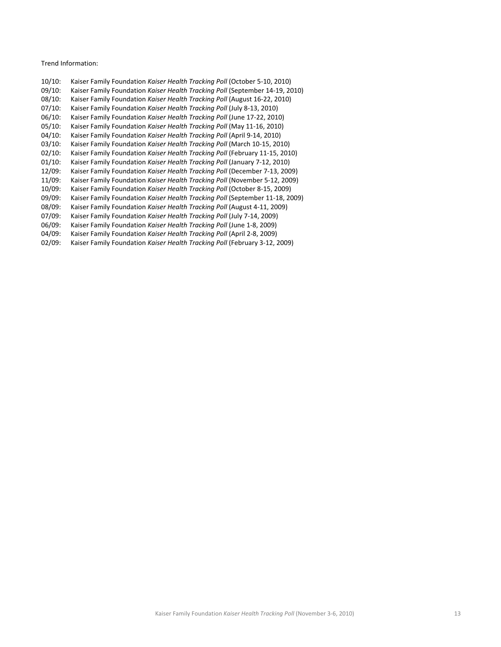Trend Information:

| $10/10$ : | Kaiser Family Foundation Kaiser Health Tracking Poll (October 5-10, 2010)    |
|-----------|------------------------------------------------------------------------------|
| 09/10:    | Kaiser Family Foundation Kaiser Health Tracking Poll (September 14-19, 2010) |
| $08/10$ : | Kaiser Family Foundation Kaiser Health Tracking Poll (August 16-22, 2010)    |
| 07/10:    | Kaiser Family Foundation Kaiser Health Tracking Poll (July 8-13, 2010)       |
| 06/10:    | Kaiser Family Foundation Kaiser Health Tracking Poll (June 17-22, 2010)      |
| $05/10$ : | Kaiser Family Foundation Kaiser Health Tracking Poll (May 11-16, 2010)       |
| 04/10:    | Kaiser Family Foundation Kaiser Health Tracking Poll (April 9-14, 2010)      |
| 03/10:    | Kaiser Family Foundation Kaiser Health Tracking Poll (March 10-15, 2010)     |
| $02/10$ : | Kaiser Family Foundation Kaiser Health Tracking Poll (February 11-15, 2010)  |
| $01/10$ : | Kaiser Family Foundation Kaiser Health Tracking Poll (January 7-12, 2010)    |
| 12/09:    | Kaiser Family Foundation Kaiser Health Tracking Poll (December 7-13, 2009)   |
| 11/09:    | Kaiser Family Foundation Kaiser Health Tracking Poll (November 5-12, 2009)   |
| 10/09:    | Kaiser Family Foundation Kaiser Health Tracking Poll (October 8-15, 2009)    |
| 09/09:    | Kaiser Family Foundation Kaiser Health Tracking Poll (September 11-18, 2009) |
| 08/09:    | Kaiser Family Foundation Kaiser Health Tracking Poll (August 4-11, 2009)     |
| 07/09:    | Kaiser Family Foundation Kaiser Health Tracking Poll (July 7-14, 2009)       |
| 06/09:    | Kaiser Family Foundation Kaiser Health Tracking Poll (June 1-8, 2009)        |
| 04/09:    | Kaiser Family Foundation Kaiser Health Tracking Poll (April 2-8, 2009)       |
| 02/09:    | Kaiser Family Foundation Kaiser Health Tracking Poll (February 3-12, 2009)   |